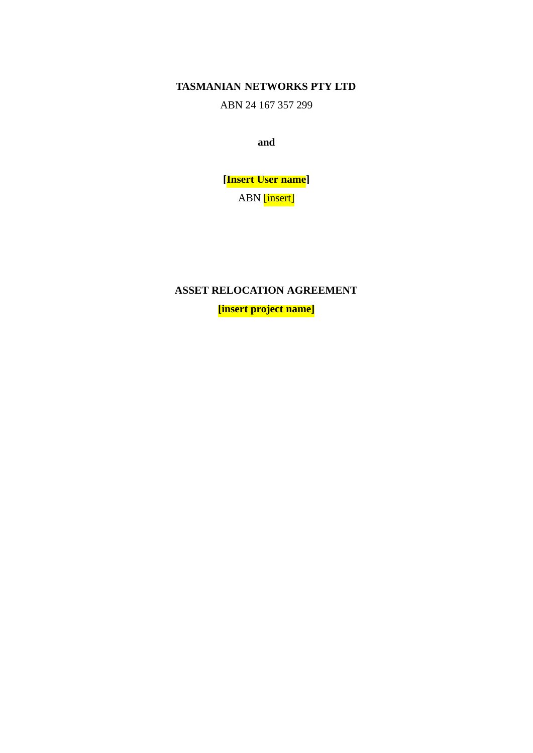**TASMANIAN NETWORKS PTY LTD**

ABN 24 167 357 299

**and**

**[Insert User name]** ABN [insert]

**ASSET RELOCATION AGREEMENT**

**[insert project name]**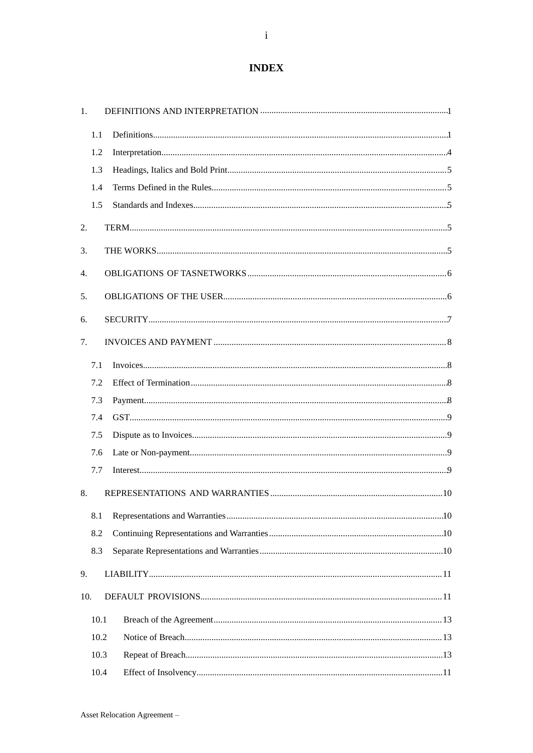# **INDEX**

| 1.  |      |  |
|-----|------|--|
|     | 1.1  |  |
|     | 1.2  |  |
|     | 1.3  |  |
|     | 1.4  |  |
|     | 1.5  |  |
| 2.  |      |  |
| 3.  |      |  |
| 4.  |      |  |
| 5.  |      |  |
|     |      |  |
| 6.  |      |  |
| 7.  |      |  |
|     | 7.1  |  |
|     | 7.2  |  |
|     | 7.3  |  |
|     | 7.4  |  |
|     | 7.5  |  |
|     | 7.6  |  |
|     | 7.7  |  |
| 8.  |      |  |
|     | 8.1  |  |
|     | 8.2  |  |
|     | 8.3  |  |
| 9.  |      |  |
| 10. |      |  |
|     | 10.1 |  |
|     | 10.2 |  |
|     | 10.3 |  |
|     | 10.4 |  |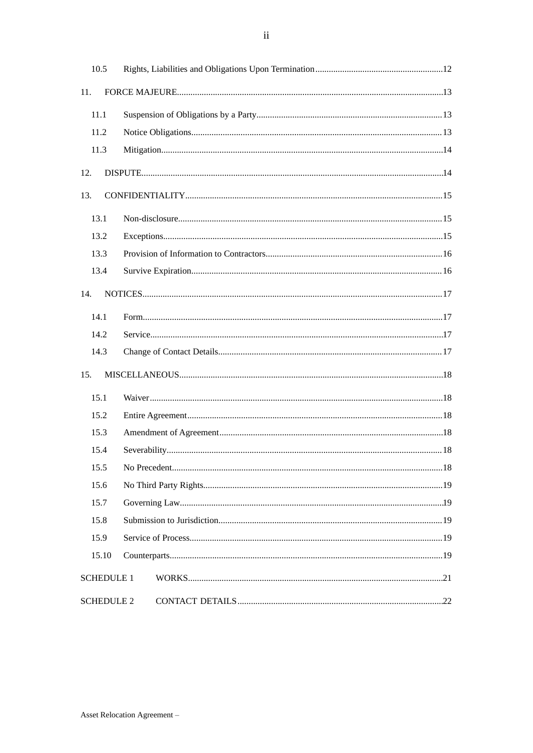| 10.5  |                   |  |
|-------|-------------------|--|
| 11.   |                   |  |
| 11.1  |                   |  |
| 11.2  |                   |  |
| 11.3  |                   |  |
| 12.   |                   |  |
| 13.   |                   |  |
| 13.1  |                   |  |
| 13.2  |                   |  |
| 13.3  |                   |  |
| 13.4  |                   |  |
| 14.   |                   |  |
| 14.1  |                   |  |
| 14.2  |                   |  |
| 14.3  |                   |  |
| 15.   |                   |  |
| 15.1  |                   |  |
| 15.2  |                   |  |
| 15.3  |                   |  |
| 15.4  |                   |  |
| 15.5  |                   |  |
| 15.6  |                   |  |
| 15.7  |                   |  |
| 15.8  |                   |  |
| 15.9  |                   |  |
| 15.10 |                   |  |
|       | <b>SCHEDULE 1</b> |  |
|       | <b>SCHEDULE 2</b> |  |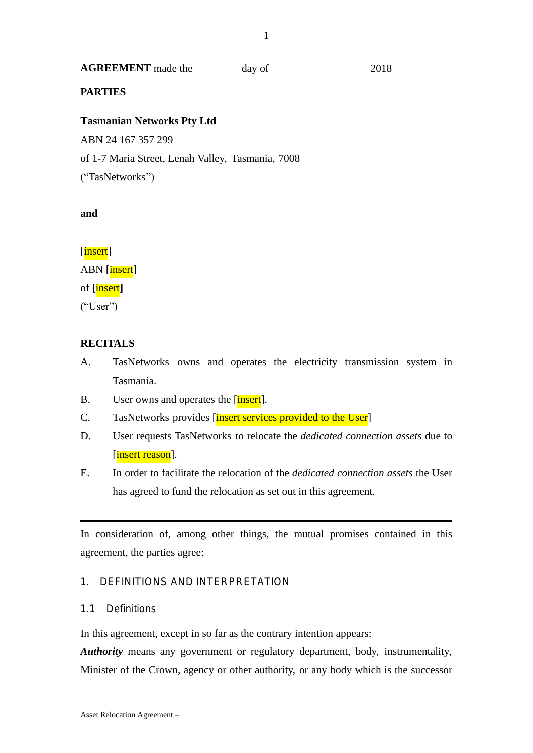## **AGREEMENT** made the day of 2018

## **PARTIES**

## **Tasmanian Networks Pty Ltd**

ABN 24 167 357 299

of 1-7 Maria Street, Lenah Valley, Tasmania, 7008

("TasNetworks")

## **and**

[insert] ABN **[**insert**]** of **[**insert**]** ("User")

# **RECITALS**

- A. TasNetworks owns and operates the electricity transmission system in Tasmania.
- B. User owns and operates the [insert].
- C. TasNetworks provides *[insert services provided to the User]*
- D. User requests TasNetworks to relocate the *dedicated connection assets* due to [insert reason].
- E. In order to facilitate the relocation of the *dedicated connection assets* the User has agreed to fund the relocation as set out in this agreement.

In consideration of, among other things, the mutual promises contained in this agreement, the parties agree:

# 1. DEFINITIONS AND INTERPRETATION

## 1.1 Definitions

In this agreement, except in so far as the contrary intention appears:

*Authority* means any government or regulatory department, body, instrumentality, Minister of the Crown, agency or other authority, or any body which is the successor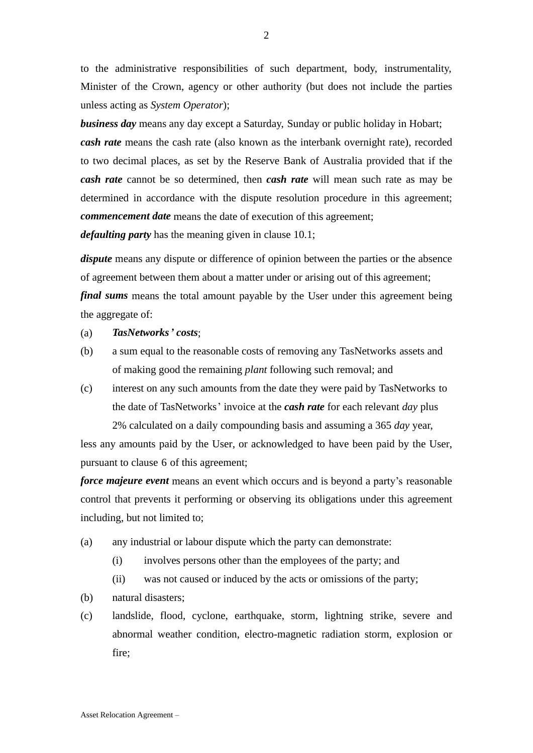to the administrative responsibilities of such department, body, instrumentality, Minister of the Crown, agency or other authority (but does not include the parties unless acting as *System Operator*);

*business day* means any day except a Saturday, Sunday or public holiday in Hobart; *cash rate* means the cash rate (also known as the interbank overnight rate), recorded to two decimal places, as set by the Reserve Bank of Australia provided that if the *cash rate* cannot be so determined, then *cash rate* will mean such rate as may be determined in accordance with the dispute resolution procedure in this agreement; *commencement date* means the date of execution of this agreement;

*defaulting party* has the meaning given in clause 10.1;

*dispute* means any dispute or difference of opinion between the parties or the absence of agreement between them about a matter under or arising out of this agreement; *final sums* means the total amount payable by the User under this agreement being the aggregate of:

## (a) *TasNetworks' costs*;

- (b) a sum equal to the reasonable costs of removing any TasNetworks assets and of making good the remaining *plant* following such removal; and
- (c) interest on any such amounts from the date they were paid by TasNetworks to the date of TasNetworks' invoice at the *cash rate* for each relevant *day* plus 2% calculated on a daily compounding basis and assuming a 365 *day* year,

less any amounts paid by the User, or acknowledged to have been paid by the User, pursuant to clause 6 of this agreement;

*force majeure event* means an event which occurs and is beyond a party's reasonable control that prevents it performing or observing its obligations under this agreement including, but not limited to;

- (a) any industrial or labour dispute which the party can demonstrate:
	- (i) involves persons other than the employees of the party; and
	- (ii) was not caused or induced by the acts or omissions of the party;
- (b) natural disasters;
- (c) landslide, flood, cyclone, earthquake, storm, lightning strike, severe and abnormal weather condition, electro-magnetic radiation storm, explosion or fire;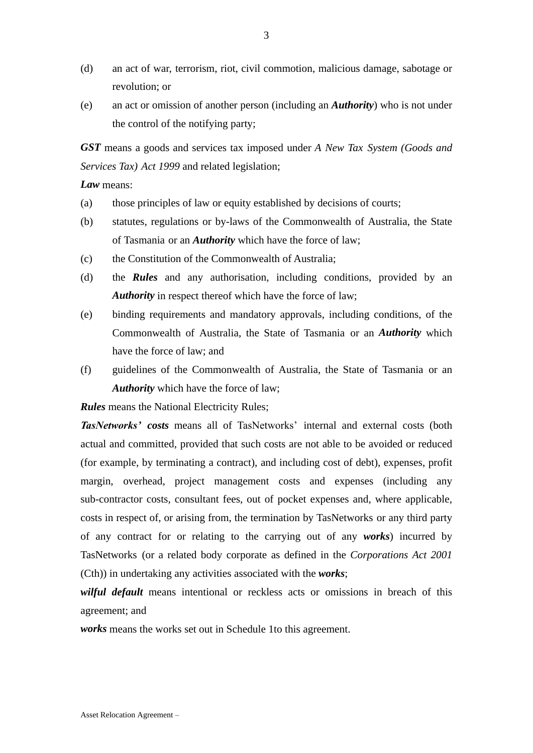- (d) an act of war, terrorism, riot, civil commotion, malicious damage, sabotage or revolution; or
- (e) an act or omission of another person (including an *Authority*) who is not under the control of the notifying party;

*GST* means a goods and services tax imposed under *A New Tax System (Goods and Services Tax) Act 1999* and related legislation;

*Law* means:

- (a) those principles of law or equity established by decisions of courts;
- (b) statutes, regulations or by-laws of the Commonwealth of Australia, the State of Tasmania or an *Authority* which have the force of law;
- (c) the Constitution of the Commonwealth of Australia;
- (d) the *Rules* and any authorisation, including conditions, provided by an *Authority* in respect thereof which have the force of law;
- (e) binding requirements and mandatory approvals, including conditions, of the Commonwealth of Australia, the State of Tasmania or an *Authority* which have the force of law; and
- (f) guidelines of the Commonwealth of Australia, the State of Tasmania or an *Authority* which have the force of law;

*Rules* means the National Electricity Rules;

*TasNetworks' costs* means all of TasNetworks' internal and external costs (both actual and committed, provided that such costs are not able to be avoided or reduced (for example, by terminating a contract), and including cost of debt), expenses, profit margin, overhead, project management costs and expenses (including any sub-contractor costs, consultant fees, out of pocket expenses and, where applicable, costs in respect of, or arising from, the termination by TasNetworks or any third party of any contract for or relating to the carrying out of any *works*) incurred by TasNetworks (or a related body corporate as defined in the *Corporations Act 2001* (Cth)) in undertaking any activities associated with the *works*;

*wilful default* means intentional or reckless acts or omissions in breach of this agreement; and

*works* means the works set out in Schedule 1to this agreement.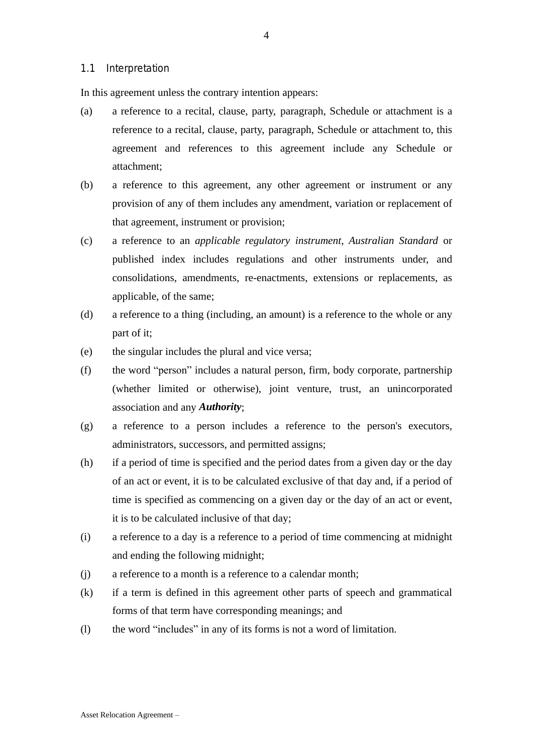#### 1.1 Interpretation

In this agreement unless the contrary intention appears:

- (a) a reference to a recital, clause, party, paragraph, Schedule or attachment is a reference to a recital, clause, party, paragraph, Schedule or attachment to, this agreement and references to this agreement include any Schedule or attachment;
- (b) a reference to this agreement, any other agreement or instrument or any provision of any of them includes any amendment, variation or replacement of that agreement, instrument or provision;
- (c) a reference to an *applicable regulatory instrument*, *Australian Standard* or published index includes regulations and other instruments under, and consolidations, amendments, re-enactments, extensions or replacements, as applicable, of the same;
- (d) a reference to a thing (including, an amount) is a reference to the whole or any part of it;
- (e) the singular includes the plural and vice versa;
- (f) the word "person" includes a natural person, firm, body corporate, partnership (whether limited or otherwise), joint venture, trust, an unincorporated association and any *Authority*;
- (g) a reference to a person includes a reference to the person's executors, administrators, successors, and permitted assigns;
- (h) if a period of time is specified and the period dates from a given day or the day of an act or event, it is to be calculated exclusive of that day and, if a period of time is specified as commencing on a given day or the day of an act or event, it is to be calculated inclusive of that day;
- (i) a reference to a day is a reference to a period of time commencing at midnight and ending the following midnight;
- (j) a reference to a month is a reference to a calendar month;
- (k) if a term is defined in this agreement other parts of speech and grammatical forms of that term have corresponding meanings; and
- (l) the word "includes" in any of its forms is not a word of limitation.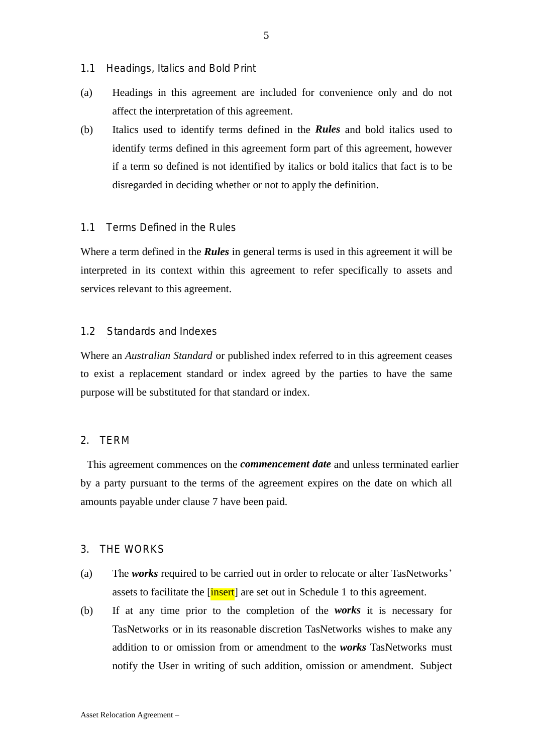- 1.1 Headings, Italics and Bold Print
- (a) Headings in this agreement are included for convenience only and do not affect the interpretation of this agreement.
- (b) Italics used to identify terms defined in the *Rules* and bold italics used to identify terms defined in this agreement form part of this agreement, however if a term so defined is not identified by italics or bold italics that fact is to be disregarded in deciding whether or not to apply the definition.

### 1.1 Terms Defined in the Rules

Where a term defined in the *Rules* in general terms is used in this agreement it will be interpreted in its context within this agreement to refer specifically to assets and services relevant to this agreement.

#### 1.2 Standards and Indexes

Where an *Australian Standard* or published index referred to in this agreement ceases to exist a replacement standard or index agreed by the parties to have the same purpose will be substituted for that standard or index.

## 2. TERM

This agreement commences on the *commencement date* and unless terminated earlier by a party pursuant to the terms of the agreement expires on the date on which all amounts payable under clause 7 have been paid.

#### 3. THE WORKS

- (a) The *works* required to be carried out in order to relocate or alter TasNetworks' assets to facilitate the [insert] are set out in Schedule 1 to this agreement.
- (b) If at any time prior to the completion of the *works* it is necessary for TasNetworks or in its reasonable discretion TasNetworks wishes to make any addition to or omission from or amendment to the *works* TasNetworks must notify the User in writing of such addition, omission or amendment. Subject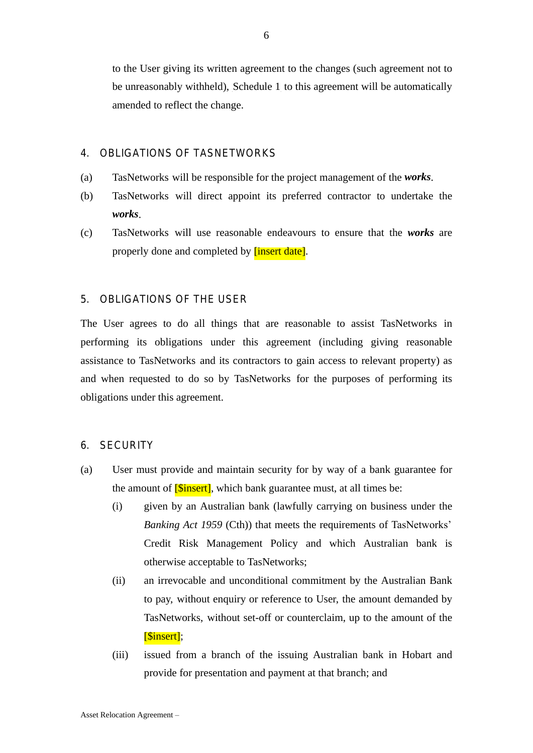6

to the User giving its written agreement to the changes (such agreement not to be unreasonably withheld), Schedule 1 to this agreement will be automatically amended to reflect the change.

# 4. OBLIGATIONS OF TASNETWORKS

- (a) TasNetworks will be responsible for the project management of the *works*.
- (b) TasNetworks will direct appoint its preferred contractor to undertake the *works*.
- (c) TasNetworks will use reasonable endeavours to ensure that the *works* are properly done and completed by **[insert date]**.

# 5. OBLIGATIONS OF THE USER

The User agrees to do all things that are reasonable to assist TasNetworks in performing its obligations under this agreement (including giving reasonable assistance to TasNetworks and its contractors to gain access to relevant property) as and when requested to do so by TasNetworks for the purposes of performing its obligations under this agreement.

# 6. SECURITY

- (a) User must provide and maintain security for by way of a bank guarantee for the amount of  $5$  insert], which bank guarantee must, at all times be:
	- (i) given by an Australian bank (lawfully carrying on business under the *Banking Act 1959* (Cth)) that meets the requirements of TasNetworks' Credit Risk Management Policy and which Australian bank is otherwise acceptable to TasNetworks;
	- (ii) an irrevocable and unconditional commitment by the Australian Bank to pay, without enquiry or reference to User, the amount demanded by TasNetworks, without set-off or counterclaim, up to the amount of the [\$insert];
	- (iii) issued from a branch of the issuing Australian bank in Hobart and provide for presentation and payment at that branch; and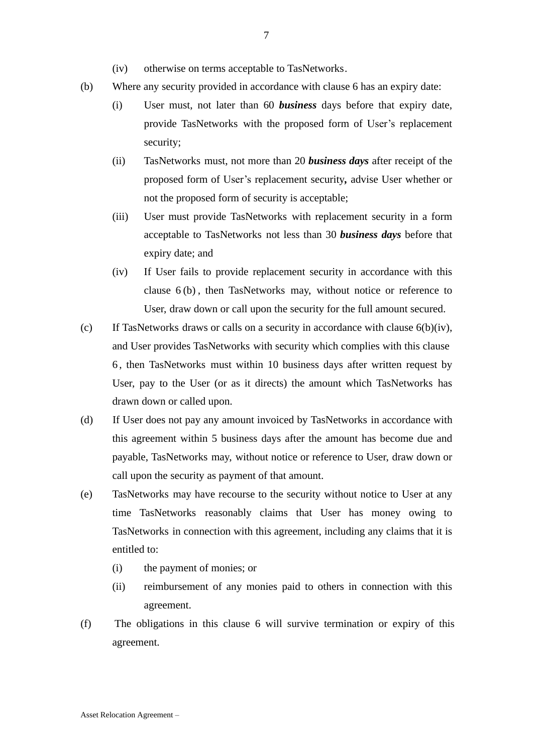- (iv) otherwise on terms acceptable to TasNetworks.
- (b) Where any security provided in accordance with clause 6 has an expiry date:
	- (i) User must, not later than 60 *business* days before that expiry date, provide TasNetworks with the proposed form of User's replacement security;
	- (ii) TasNetworks must, not more than 20 *business days* after receipt of the proposed form of User's replacement security*,* advise User whether or not the proposed form of security is acceptable;
	- (iii) User must provide TasNetworks with replacement security in a form acceptable to TasNetworks not less than 30 *business days* before that expiry date; and
	- (iv) If User fails to provide replacement security in accordance with this clause 6 (b) , then TasNetworks may, without notice or reference to User, draw down or call upon the security for the full amount secured.
- (c) If TasNetworks draws or calls on a security in accordance with clause  $6(b)(iv)$ , and User provides TasNetworks with security which complies with this clause 6 , then TasNetworks must within 10 business days after written request by User, pay to the User (or as it directs) the amount which TasNetworks has drawn down or called upon.
- (d) If User does not pay any amount invoiced by TasNetworks in accordance with this agreement within 5 business days after the amount has become due and payable, TasNetworks may, without notice or reference to User, draw down or call upon the security as payment of that amount.
- (e) TasNetworks may have recourse to the security without notice to User at any time TasNetworks reasonably claims that User has money owing to TasNetworks in connection with this agreement, including any claims that it is entitled to:
	- (i) the payment of monies; or
	- (ii) reimbursement of any monies paid to others in connection with this agreement.
- (f) The obligations in this clause 6 will survive termination or expiry of this agreement.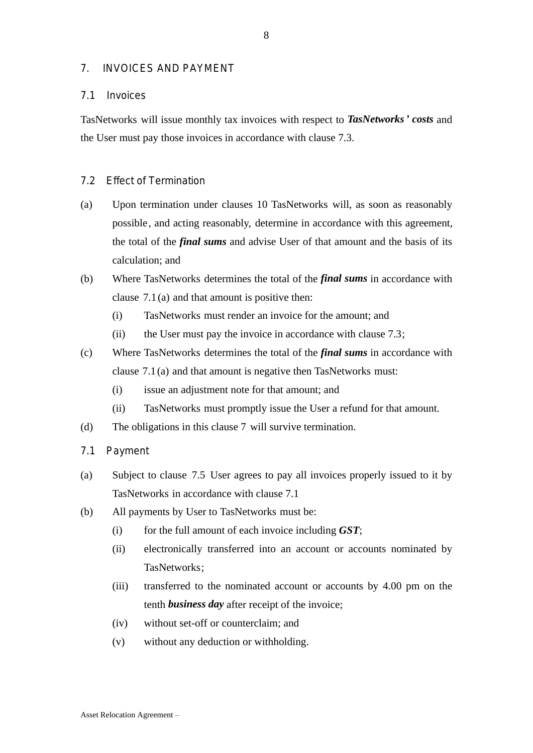## 7. INVOICES AND PAYMENT

#### 7.1 Invoices

TasNetworks will issue monthly tax invoices with respect to *TasNetworks' costs* and the User must pay those invoices in accordance with clause 7.3.

### 7.2 Effect of Termination

- (a) Upon termination under clauses 10 TasNetworks will, as soon as reasonably possible, and acting reasonably, determine in accordance with this agreement, the total of the *final sums* and advise User of that amount and the basis of its calculation; and
- (b) Where TasNetworks determines the total of the *final sums* in accordance with clause  $7.1(a)$  and that amount is positive then:
	- (i) TasNetworks must render an invoice for the amount; and
	- $(i)$  the User must pay the invoice in accordance with clause 7.3;
- (c) Where TasNetworks determines the total of the *final sums* in accordance with clause  $7.1(a)$  and that amount is negative then TasNetworks must:
	- (i) issue an adjustment note for that amount; and
	- (ii) TasNetworks must promptly issue the User a refund for that amount.
- $(d)$  The obligations in this clause  $7$  will survive termination.
- 7.1 Payment
- (a) Subject to clause  $\overline{7.5}$  User agrees to pay all invoices properly issued to it by TasNetworks in accordance with clause 7.1
- (b) All payments by User to TasNetworks must be:
	- (i) for the full amount of each invoice including *GST*;
	- (ii) electronically transferred into an account or accounts nominated by TasNetworks;
	- (iii) transferred to the nominated account or accounts by 4.00 pm on the tenth *business day* after receipt of the invoice;
	- (iv) without set-off or counterclaim; and
	- (v) without any deduction or withholding.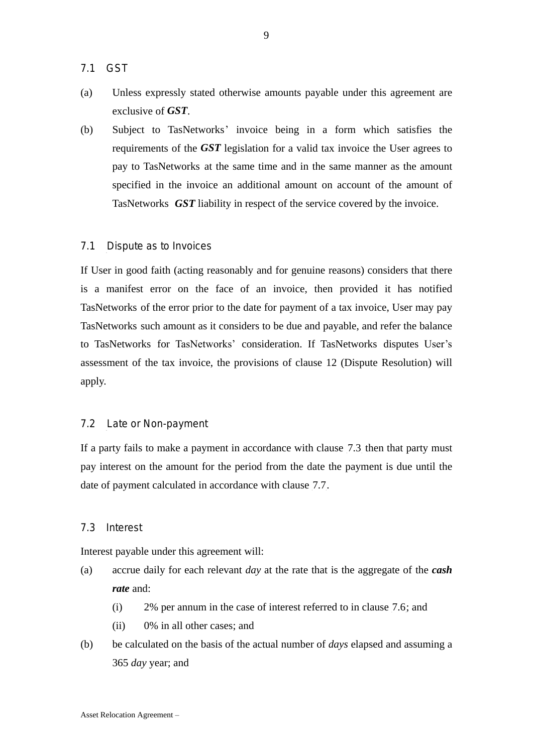- 7.1 GST
- (a) Unless expressly stated otherwise amounts payable under this agreement are exclusive of *GST*.
- (b) Subject to TasNetworks' invoice being in a form which satisfies the requirements of the *GST* legislation for a valid tax invoice the User agrees to pay to TasNetworks at the same time and in the same manner as the amount specified in the invoice an additional amount on account of the amount of TasNetworks *GST* liability in respect of the service covered by the invoice.

#### 7.1 BDispute as to Invoices

If User in good faith (acting reasonably and for genuine reasons) considers that there is a manifest error on the face of an invoice, then provided it has notified TasNetworks of the error prior to the date for payment of a tax invoice, User may pay TasNetworks such amount as it considers to be due and payable, and refer the balance to TasNetworks for TasNetworks' consideration. If TasNetworks disputes User's assessment of the tax invoice, the provisions of clause 12 (Dispute Resolution) will apply.

#### 7.2 Late or Non-payment

If a party fails to make a payment in accordance with clause 7.3 then that party must pay interest on the amount for the period from the date the payment is due until the date of payment calculated in accordance with clause 7.7.

## 7.3 Interest

Interest payable under this agreement will:

- (a) accrue daily for each relevant *day* at the rate that is the aggregate of the *cash rate* and:
	- $(i)$  2% per annum in the case of interest referred to in clause 7.6; and
	- (ii) 0% in all other cases; and
- (b) be calculated on the basis of the actual number of *days* elapsed and assuming a 365 *day* year; and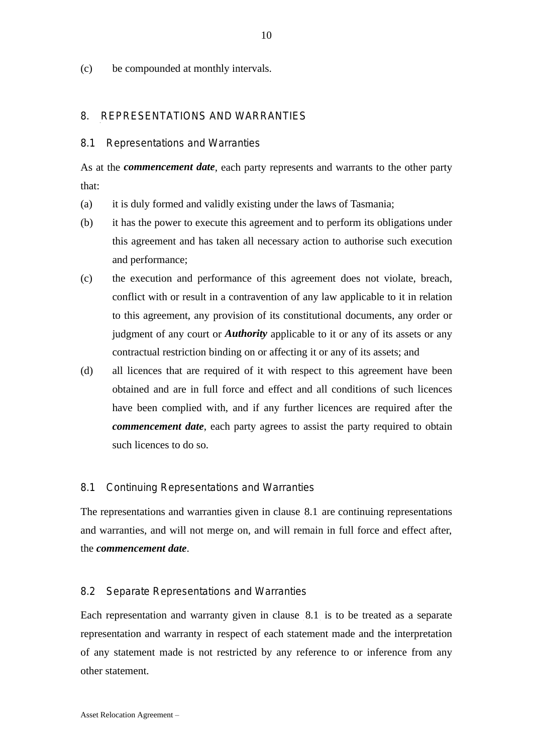(c) be compounded at monthly intervals.

#### 8. REPRESENTATIONS AND WARRANTIES

#### 8.1 Representations and Warranties

As at the *commencement date*, each party represents and warrants to the other party that:

- (a) it is duly formed and validly existing under the laws of Tasmania;
- (b) it has the power to execute this agreement and to perform its obligations under this agreement and has taken all necessary action to authorise such execution and performance;
- (c) the execution and performance of this agreement does not violate, breach, conflict with or result in a contravention of any law applicable to it in relation to this agreement, any provision of its constitutional documents, any order or judgment of any court or *Authority* applicable to it or any of its assets or any contractual restriction binding on or affecting it or any of its assets; and
- (d) all licences that are required of it with respect to this agreement have been obtained and are in full force and effect and all conditions of such licences have been complied with, and if any further licences are required after the *commencement date*, each party agrees to assist the party required to obtain such licences to do so.

#### 8.1 Continuing Representations and Warranties

The representations and warranties given in clause 8.1 are continuing representations and warranties, and will not merge on, and will remain in full force and effect after, the *commencement date*.

#### 8.2 Separate Representations and Warranties

Each representation and warranty given in clause 8.1 is to be treated as a separate representation and warranty in respect of each statement made and the interpretation of any statement made is not restricted by any reference to or inference from any other statement.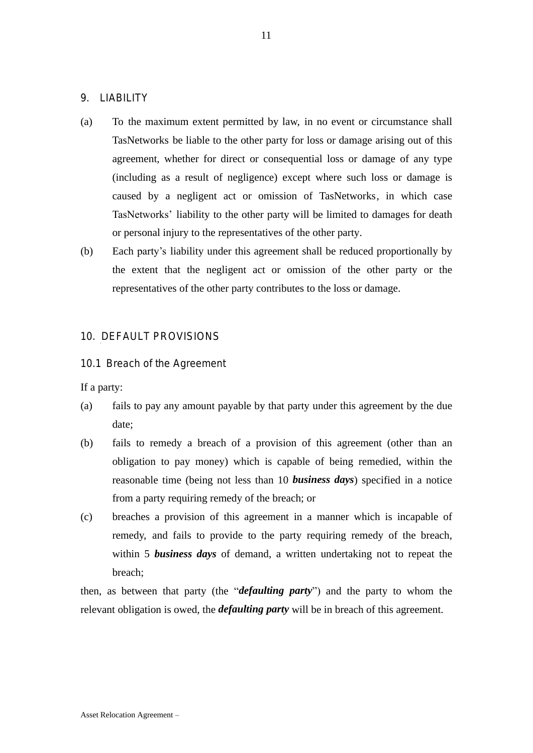## 9. LIABILITY

- (a) To the maximum extent permitted by law, in no event or circumstance shall TasNetworks be liable to the other party for loss or damage arising out of this agreement, whether for direct or consequential loss or damage of any type (including as a result of negligence) except where such loss or damage is caused by a negligent act or omission of TasNetworks, in which case TasNetworks' liability to the other party will be limited to damages for death or personal injury to the representatives of the other party.
- (b) Each party's liability under this agreement shall be reduced proportionally by the extent that the negligent act or omission of the other party or the representatives of the other party contributes to the loss or damage.

# 10. DEFAULT PROVISIONS

10.1 Breach of the Agreement

If a party:

- (a) fails to pay any amount payable by that party under this agreement by the due date;
- (b) fails to remedy a breach of a provision of this agreement (other than an obligation to pay money) which is capable of being remedied, within the reasonable time (being not less than 10 *business days*) specified in a notice from a party requiring remedy of the breach; or
- (c) breaches a provision of this agreement in a manner which is incapable of remedy, and fails to provide to the party requiring remedy of the breach, within 5 *business days* of demand, a written undertaking not to repeat the breach;

then, as between that party (the "*defaulting party*") and the party to whom the relevant obligation is owed, the *defaulting party* will be in breach of this agreement.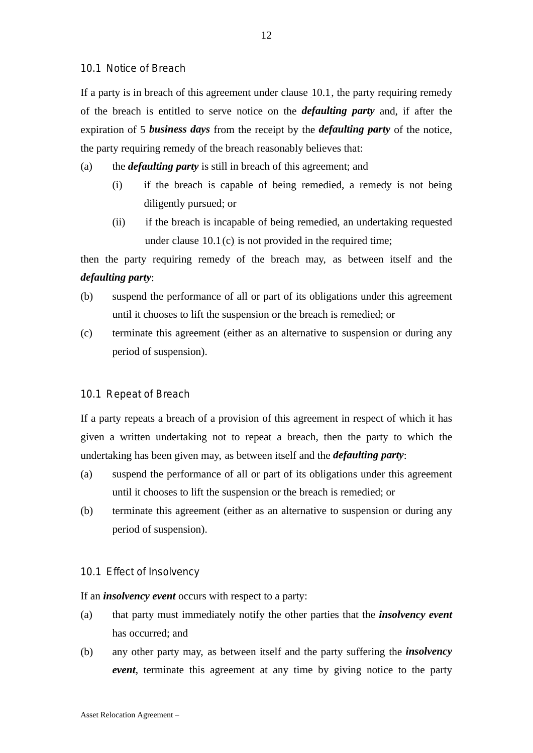10.1 Notice of Breach

If a party is in breach of this agreement under clause 10.1, the party requiring remedy of the breach is entitled to serve notice on the *defaulting party* and, if after the expiration of 5 *business days* from the receipt by the *defaulting party* of the notice, the party requiring remedy of the breach reasonably believes that:

- (a) the *defaulting party* is still in breach of this agreement; and
	- (i) if the breach is capable of being remedied, a remedy is not being diligently pursued; or
	- (ii) if the breach is incapable of being remedied, an undertaking requested under clause  $10.1(c)$  is not provided in the required time;

then the party requiring remedy of the breach may, as between itself and the *defaulting party*:

- (b) suspend the performance of all or part of its obligations under this agreement until it chooses to lift the suspension or the breach is remedied; or
- (c) terminate this agreement (either as an alternative to suspension or during any period of suspension).

#### 10.1 Repeat of Breach

If a party repeats a breach of a provision of this agreement in respect of which it has given a written undertaking not to repeat a breach, then the party to which the undertaking has been given may, as between itself and the *defaulting party*:

- (a) suspend the performance of all or part of its obligations under this agreement until it chooses to lift the suspension or the breach is remedied; or
- (b) terminate this agreement (either as an alternative to suspension or during any period of suspension).

#### 10.1 Effect of Insolvency

If an *insolvency event* occurs with respect to a party:

- (a) that party must immediately notify the other parties that the *insolvency event* has occurred; and
- (b) any other party may, as between itself and the party suffering the *insolvency event*, terminate this agreement at any time by giving notice to the party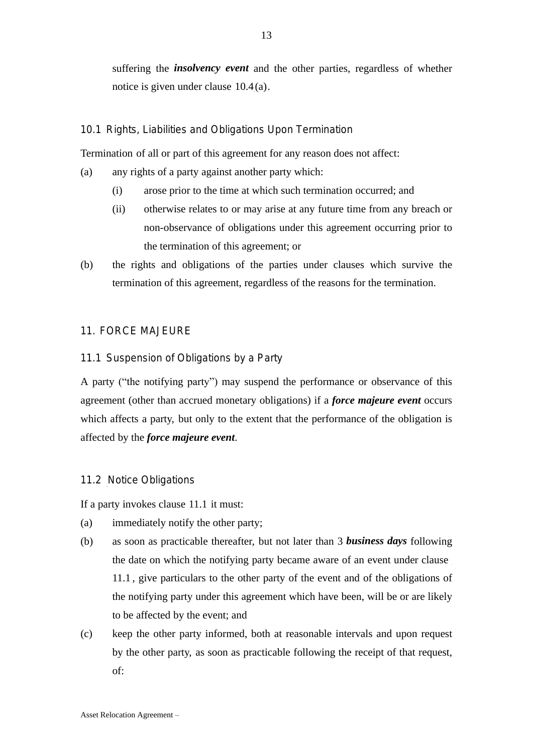suffering the *insolvency event* and the other parties, regardless of whether notice is given under clause  $10.4(a)$ .

# 10.1 Rights, Liabilities and Obligations Upon Termination

Termination of all or part of this agreement for any reason does not affect:

- (a) any rights of a party against another party which:
	- (i) arose prior to the time at which such termination occurred; and
	- (ii) otherwise relates to or may arise at any future time from any breach or non-observance of obligations under this agreement occurring prior to the termination of this agreement; or
- (b) the rights and obligations of the parties under clauses which survive the termination of this agreement, regardless of the reasons for the termination.

## 11. FORCE MAJEURE

## 11.1 Suspension of Obligations by a Party

A party ("the notifying party") may suspend the performance or observance of this agreement (other than accrued monetary obligations) if a *force majeure event* occurs which affects a party, but only to the extent that the performance of the obligation is affected by the *force majeure event*.

# 11.2 Notice Obligations

If a party invokes clause  $11.1$  it must:

- (a) immediately notify the other party;
- (b) as soon as practicable thereafter, but not later than 3 *business days* following the date on which the notifying party became aware of an event under clause 11.1, give particulars to the other party of the event and of the obligations of the notifying party under this agreement which have been, will be or are likely to be affected by the event; and
- (c) keep the other party informed, both at reasonable intervals and upon request by the other party, as soon as practicable following the receipt of that request, of: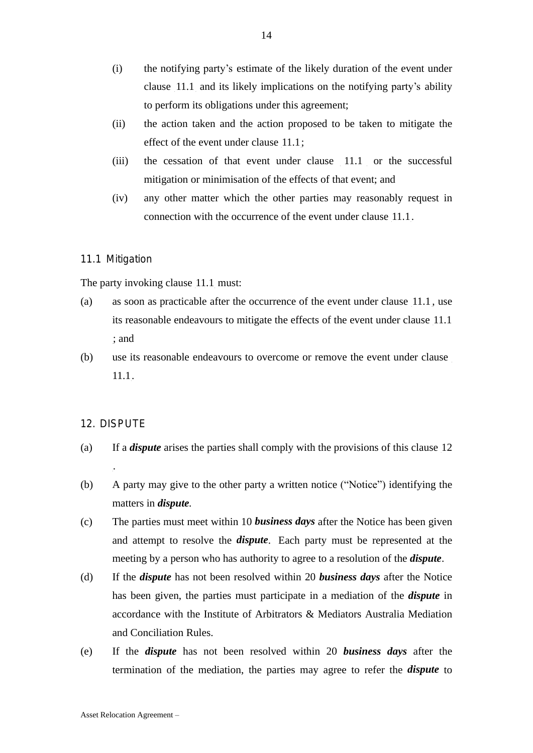- (i) the notifying party's estimate of the likely duration of the event under clause 11.1 and its likely implications on the notifying party's ability to perform its obligations under this agreement;
- (ii) the action taken and the action proposed to be taken to mitigate the effect of the event under clause  $\left[11.1\right]$ ;
- $(iii)$  the cessation of that event under clause  $11.1$  or the successful mitigation or minimisation of the effects of that event; and
- (iv) any other matter which the other parties may reasonably request in connection with the occurrence of the event under clause  $11.1$ .

### 11.1 Mitigation

The party invoking clause  $11.1$  must:

- (a) as soon as practicable after the occurrence of the event under clause  $11.1$ , use its reasonable endeavours to mitigate the effects of the event under clause 11.1 ; and
- (b) use its reasonable endeavours to overcome or remove the event under clause  $11.1.$

#### 12. DISPUTE

.

- (a) If a *dispute* arises the parties shall comply with the provisions of this clause 12
- (b) A party may give to the other party a written notice ("Notice") identifying the matters in *dispute.*
- (c) The parties must meet within 10 *business days* after the Notice has been given and attempt to resolve the *dispute*. Each party must be represented at the meeting by a person who has authority to agree to a resolution of the *dispute*.
- (d) If the *dispute* has not been resolved within 20 *business days* after the Notice has been given, the parties must participate in a mediation of the *dispute* in accordance with the Institute of Arbitrators & Mediators Australia Mediation and Conciliation Rules.
- (e) If the *dispute* has not been resolved within 20 *business days* after the termination of the mediation, the parties may agree to refer the *dispute* to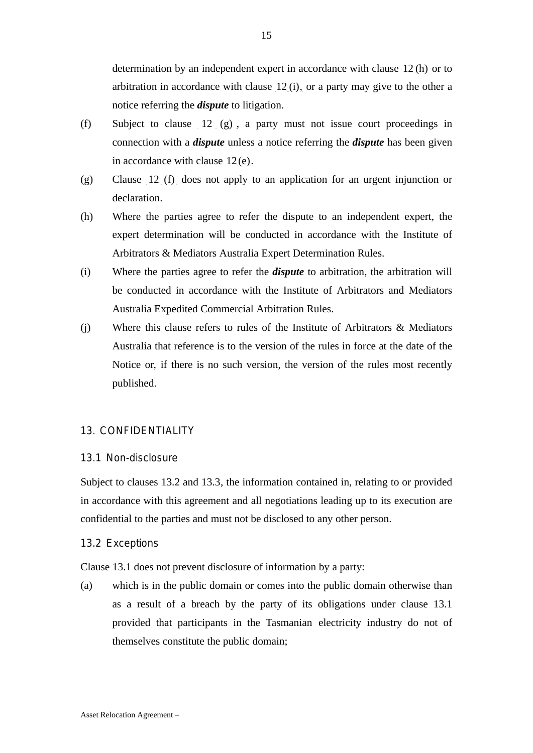- (f) Subject to clause  $12$  (g), a party must not issue court proceedings in connection with a *dispute* unless a notice referring the *dispute* has been given in accordance with clause  $12(e)$ .
- $(g)$  Clause 12 (f) does not apply to an application for an urgent injunction or declaration.
- (h) Where the parties agree to refer the dispute to an independent expert, the expert determination will be conducted in accordance with the Institute of Arbitrators & Mediators Australia Expert Determination Rules.
- (i) Where the parties agree to refer the *dispute* to arbitration, the arbitration will be conducted in accordance with the Institute of Arbitrators and Mediators Australia Expedited Commercial Arbitration Rules.
- (j) Where this clause refers to rules of the Institute of Arbitrators & Mediators Australia that reference is to the version of the rules in force at the date of the Notice or, if there is no such version, the version of the rules most recently published.

# 13. CONFIDENTIALITY

# 13.1 Non-disclosure

Subject to clauses 13.2 and 13.3, the information contained in, relating to or provided in accordance with this agreement and all negotiations leading up to its execution are confidential to the parties and must not be disclosed to any other person.

# 13.2 Exceptions

Clause 13.1 does not prevent disclosure of information by a party:

(a) which is in the public domain or comes into the public domain otherwise than as a result of a breach by the party of its obligations under clause 13.1 provided that participants in the Tasmanian electricity industry do not of themselves constitute the public domain;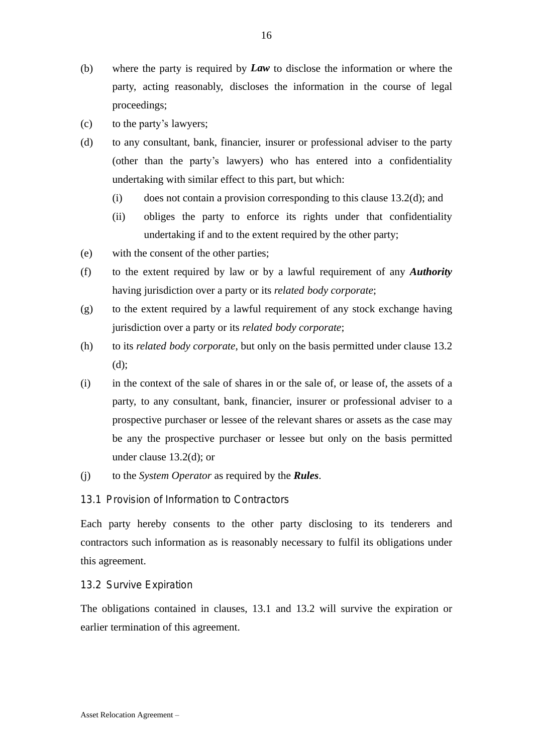- (b) where the party is required by *Law* to disclose the information or where the party, acting reasonably, discloses the information in the course of legal proceedings;
- (c) to the party's lawyers;
- (d) to any consultant, bank, financier, insurer or professional adviser to the party (other than the party's lawyers) who has entered into a confidentiality undertaking with similar effect to this part, but which:
	- (i) does not contain a provision corresponding to this clause  $13.2(d)$ ; and
	- (ii) obliges the party to enforce its rights under that confidentiality undertaking if and to the extent required by the other party;
- (e) with the consent of the other parties;
- (f) to the extent required by law or by a lawful requirement of any *Authority* having jurisdiction over a party or its *related body corporate*;
- (g) to the extent required by a lawful requirement of any stock exchange having jurisdiction over a party or its *related body corporate*;
- (h) to its *related body corporate*, but only on the basis permitted under clause 13.2 (d);
- (i) in the context of the sale of shares in or the sale of, or lease of, the assets of a party, to any consultant, bank, financier, insurer or professional adviser to a prospective purchaser or lessee of the relevant shares or assets as the case may be any the prospective purchaser or lessee but only on the basis permitted under clause 13.2(d); or
- (j) to the *System Operator* as required by the *Rules*.

13.1 Provision of Information to Contractors

Each party hereby consents to the other party disclosing to its tenderers and contractors such information as is reasonably necessary to fulfil its obligations under this agreement.

### 13.2 Survive Expiration

The obligations contained in clauses, 13.1 and 13.2 will survive the expiration or earlier termination of this agreement.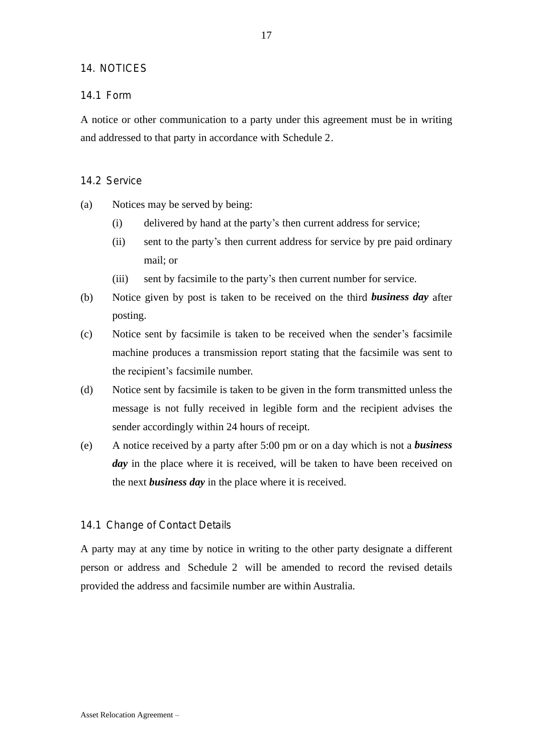## 14. NOTICES

## 14.1 Form

A notice or other communication to a party under this agreement must be in writing and addressed to that party in accordance with Schedule 2.

#### 14.2 Service

- (a) Notices may be served by being:
	- (i) delivered by hand at the party's then current address for service;
	- (ii) sent to the party's then current address for service by pre paid ordinary mail; or
	- (iii) sent by facsimile to the party's then current number for service.
- (b) Notice given by post is taken to be received on the third *business day* after posting.
- (c) Notice sent by facsimile is taken to be received when the sender's facsimile machine produces a transmission report stating that the facsimile was sent to the recipient's facsimile number.
- (d) Notice sent by facsimile is taken to be given in the form transmitted unless the message is not fully received in legible form and the recipient advises the sender accordingly within 24 hours of receipt.
- (e) A notice received by a party after 5:00 pm or on a day which is not a *business day* in the place where it is received, will be taken to have been received on the next *business day* in the place where it is received.

#### 14.1 Change of Contact Details

A party may at any time by notice in writing to the other party designate a different person or address and Schedule 2 will be amended to record the revised details provided the address and facsimile number are within Australia.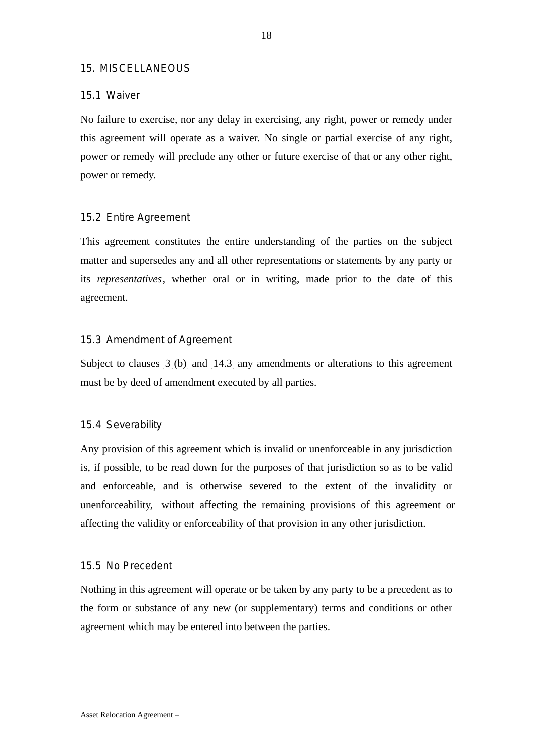### 15. MISCELLANEOUS

### 15.1 Waiver

No failure to exercise, nor any delay in exercising, any right, power or remedy under this agreement will operate as a waiver. No single or partial exercise of any right, power or remedy will preclude any other or future exercise of that or any other right, power or remedy.

#### 15.2 Entire Agreement

This agreement constitutes the entire understanding of the parties on the subject matter and supersedes any and all other representations or statements by any party or its *representatives*, whether oral or in writing, made prior to the date of this agreement.

## 15.3 Amendment of Agreement

Subject to clauses  $3$  (b) and 14.3 any amendments or alterations to this agreement must be by deed of amendment executed by all parties.

#### 15.4 Severability

Any provision of this agreement which is invalid or unenforceable in any jurisdiction is, if possible, to be read down for the purposes of that jurisdiction so as to be valid and enforceable, and is otherwise severed to the extent of the invalidity or unenforceability, without affecting the remaining provisions of this agreement or affecting the validity or enforceability of that provision in any other jurisdiction.

### 15.5 No Precedent

Nothing in this agreement will operate or be taken by any party to be a precedent as to the form or substance of any new (or supplementary) terms and conditions or other agreement which may be entered into between the parties.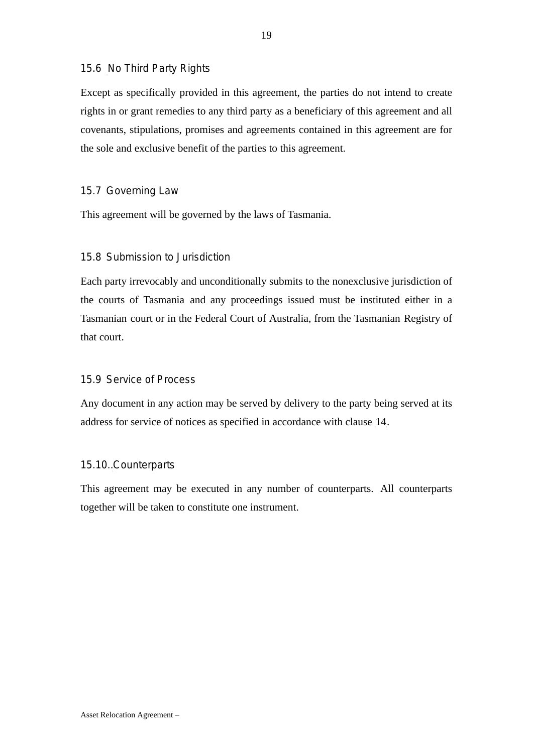# 15.6 No Third Party Rights

Except as specifically provided in this agreement, the parties do not intend to create rights in or grant remedies to any third party as a beneficiary of this agreement and all covenants, stipulations, promises and agreements contained in this agreement are for the sole and exclusive benefit of the parties to this agreement.

# 15.7 Governing Law

This agreement will be governed by the laws of Tasmania.

# 15.8 Submission to Jurisdiction

Each party irrevocably and unconditionally submits to the nonexclusive jurisdiction of the courts of Tasmania and any proceedings issued must be instituted either in a Tasmanian court or in the Federal Court of Australia, from the Tasmanian Registry of that court.

# 15.9 Service of Process

Any document in any action may be served by delivery to the party being served at its address for service of notices as specified in accordance with clause 14.

# 15.10. Counterparts

This agreement may be executed in any number of counterparts. All counterparts together will be taken to constitute one instrument.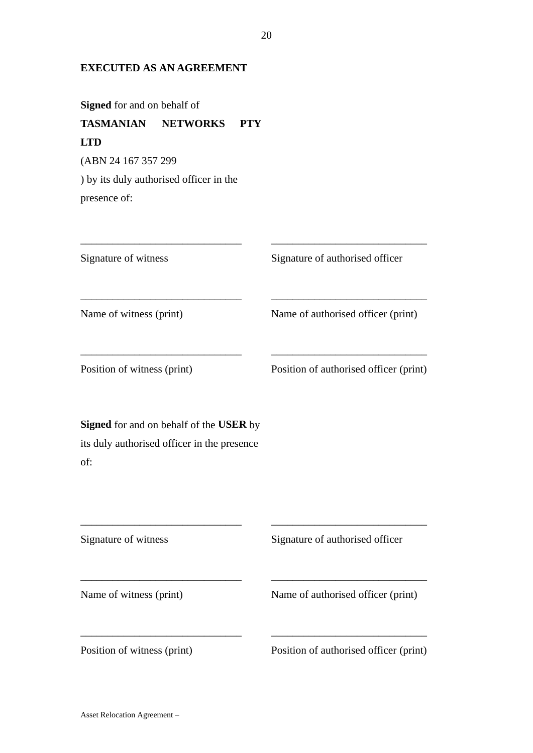# **EXECUTED AS AN AGREEMENT**

**Signed** for and on behalf of

# **TASMANIAN NETWORKS PTY LTD** (ABN 24 167 357 299

) by its duly authorised officer in the presence of:

| Signature of witness                                                                                 | Signature of authorised officer        |  |
|------------------------------------------------------------------------------------------------------|----------------------------------------|--|
| Name of witness (print)                                                                              | Name of authorised officer (print)     |  |
| Position of witness (print)                                                                          | Position of authorised officer (print) |  |
| <b>Signed</b> for and on behalf of the USER by<br>its duly authorised officer in the presence<br>of: |                                        |  |
| Signature of witness                                                                                 | Signature of authorised officer        |  |
| Name of witness (print)                                                                              | Name of authorised officer (print)     |  |

\_\_\_\_\_\_\_\_\_\_\_\_\_\_\_\_\_\_\_\_\_\_\_\_\_\_\_\_\_\_ \_\_\_\_\_\_\_\_\_\_\_\_\_\_\_\_\_\_\_\_\_\_\_\_\_\_\_\_\_

Position of witness (print) Position of authorised officer (print)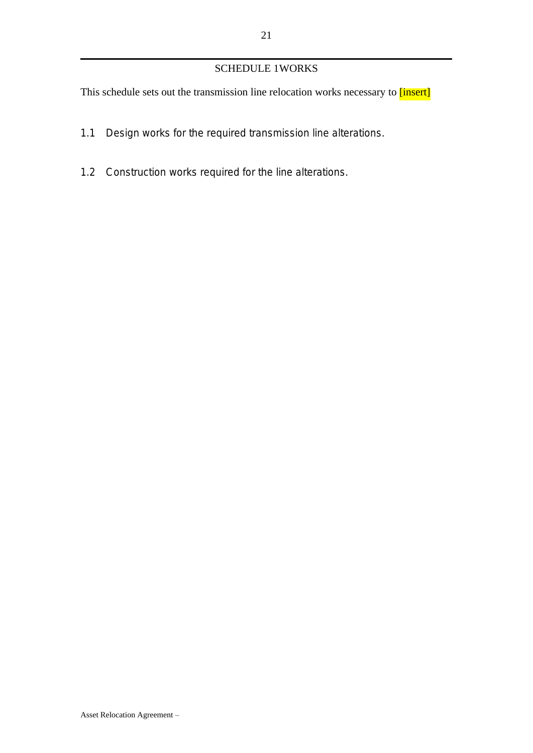# SCHEDULE 1WORKS

This schedule sets out the transmission line relocation works necessary to [insert]

- 1.1 Design works for the required transmission line alterations.
- 1.2 Construction works required for the line alterations.